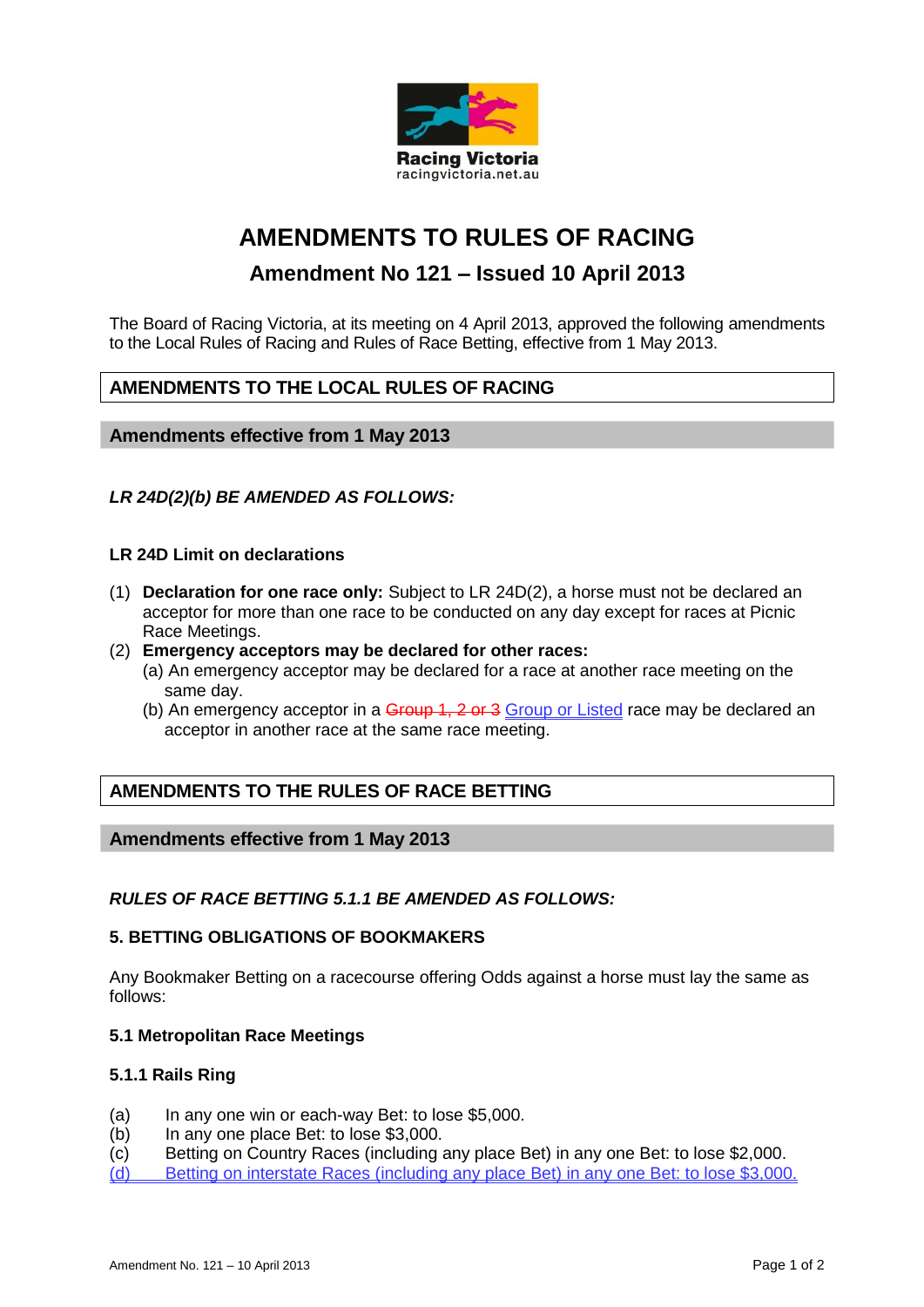

# **AMENDMENTS TO RULES OF RACING**

## **Amendment No 121 – Issued 10 April 2013**

The Board of Racing Victoria, at its meeting on 4 April 2013, approved the following amendments to the Local Rules of Racing and Rules of Race Betting, effective from 1 May 2013.

## **AMENDMENTS TO THE LOCAL RULES OF RACING**

## **Amendments effective from 1 May 2013**

## *LR 24D(2)(b) BE AMENDED AS FOLLOWS:*

## **LR 24D Limit on declarations**

- (1) **Declaration for one race only:** Subject to LR 24D(2), a horse must not be declared an acceptor for more than one race to be conducted on any day except for races at Picnic Race Meetings.
- (2) **Emergency acceptors may be declared for other races:** 
	- (a) An emergency acceptor may be declared for a race at another race meeting on the same day.
	- (b) An emergency acceptor in a  $G$ -Group 1, 2 or 3 Group or Listed race may be declared an acceptor in another race at the same race meeting.

## **AMENDMENTS TO THE RULES OF RACE BETTING**

## **Amendments effective from 1 May 2013**

#### *RULES OF RACE BETTING 5.1.1 BE AMENDED AS FOLLOWS:*

#### **5. BETTING OBLIGATIONS OF BOOKMAKERS**

Any Bookmaker Betting on a racecourse offering Odds against a horse must lay the same as follows:

#### **5.1 Metropolitan Race Meetings**

#### **5.1.1 Rails Ring**

- (a) In any one win or each-way Bet: to lose \$5,000.
- (b) In any one place Bet: to lose \$3,000.
- (c) Betting on Country Races (including any place Bet) in any one Bet: to lose \$2,000.
- (d) Betting on interstate Races (including any place Bet) in any one Bet: to lose \$3,000.